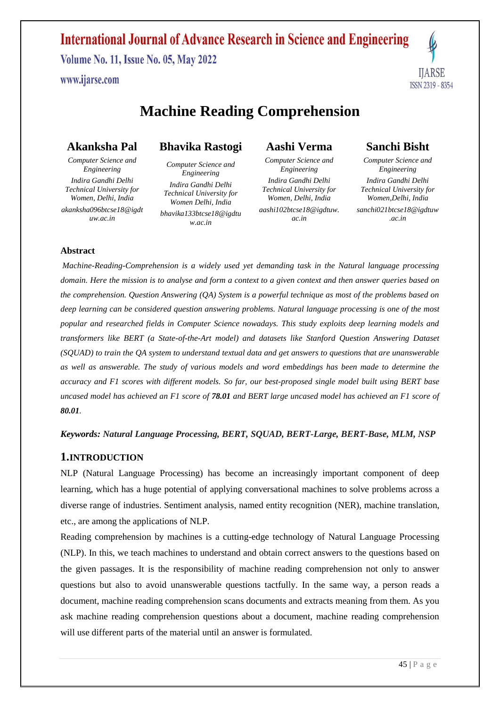www.ijarse.com



# **Machine Reading Comprehension**

## **Akanksha Pal**

*Computer Science and Engineering Indira Gandhi Delhi Technical University for Women, Delhi, India akanksha096btcse18@igdt uw.ac.in*

## **Bhavika Rastogi**

*Computer Science and Engineering Indira Gandhi Delhi Technical University for Women Delhi, India bhavika133btcse18@igdtu w.ac.in*

## **Aashi Verma**

*Computer Science and Engineering Indira Gandhi Delhi Technical University for Women, Delhi, India aashi102btcse18@igdtuw. ac.in*

## **Sanchi Bisht**

*Computer Science and Engineering Indira Gandhi Delhi Technical University for Women,Delhi, India sanchi021btcse18@igdtuw .ac.in*

#### **Abstract**

*Machine-Reading-Comprehension is a widely used yet demanding task in the Natural language processing domain. Here the mission is to analyse and form a context to a given context and then answer queries based on the comprehension. Question Answering (QA) System is a powerful technique as most of the problems based on deep learning can be considered question answering problems. Natural language processing is one of the most popular and researched fields in Computer Science nowadays. This study exploits deep learning models and transformers like BERT (a State-of-the-Art model) and datasets like Stanford Question Answering Dataset (SQUAD) to train the QA system to understand textual data and get answers to questions that are unanswerable as well as answerable. The study of various models and word embeddings has been made to determine the accuracy and F1 scores with different models. So far, our best-proposed single model built using BERT base uncased model has achieved an F1 score of 78.01 and BERT large uncased model has achieved an F1 score of 80.01.*

#### *Keywords: Natural Language Processing, BERT, SQUAD, BERT-Large, BERT-Base, MLM, NSP*

### **1.INTRODUCTION**

NLP (Natural Language Processing) has become an increasingly important component of deep learning, which has a huge potential of applying conversational machines to solve problems across a diverse range of industries. Sentiment analysis, named entity recognition (NER), machine translation, etc., are among the applications of NLP.

Reading comprehension by machines is a cutting-edge technology of Natural Language Processing (NLP). In this, we teach machines to understand and obtain correct answers to the questions based on the given passages. It is the responsibility of machine reading comprehension not only to answer questions but also to avoid unanswerable questions tactfully. In the same way, a person reads a document, machine reading comprehension scans documents and extracts meaning from them. As you ask machine reading comprehension questions about a document, machine reading comprehension will use different parts of the material until an answer is formulated.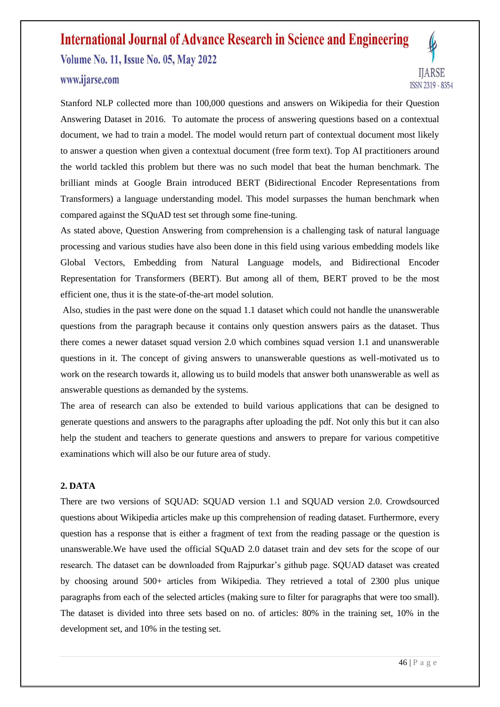### www.ijarse.com



Stanford NLP collected more than 100,000 questions and answers on Wikipedia for their Question Answering Dataset in 2016. To automate the process of answering questions based on a contextual document, we had to train a model. The model would return part of contextual document most likely to answer a question when given a contextual document (free form text). Top AI practitioners around the world tackled this problem but there was no such model that beat the human benchmark. The brilliant minds at Google Brain introduced BERT (Bidirectional Encoder Representations from Transformers) a language understanding model. This model surpasses the human benchmark when compared against the SQuAD test set through some fine-tuning.

As stated above, Question Answering from comprehension is a challenging task of natural language processing and various studies have also been done in this field using various embedding models like Global Vectors, Embedding from Natural Language models, and Bidirectional Encoder Representation for Transformers (BERT). But among all of them, BERT proved to be the most efficient one, thus it is the state-of-the-art model solution.

Also, studies in the past were done on the squad 1.1 dataset which could not handle the unanswerable questions from the paragraph because it contains only question answers pairs as the dataset. Thus there comes a newer dataset squad version 2.0 which combines squad version 1.1 and unanswerable questions in it. The concept of giving answers to unanswerable questions as well-motivated us to work on the research towards it, allowing us to build models that answer both unanswerable as well as answerable questions as demanded by the systems.

The area of research can also be extended to build various applications that can be designed to generate questions and answers to the paragraphs after uploading the pdf. Not only this but it can also help the student and teachers to generate questions and answers to prepare for various competitive examinations which will also be our future area of study.

#### **2. DATA**

There are two versions of SQUAD: SQUAD version 1.1 and SQUAD version 2.0. Crowdsourced questions about Wikipedia articles make up this comprehension of reading dataset. Furthermore, every question has a response that is either a fragment of text from the reading passage or the question is unanswerable.We have used the official SQuAD 2.0 dataset train and dev sets for the scope of our research. The dataset can be downloaded from Rajpurkar's github page. SQUAD dataset was created by choosing around 500+ articles from Wikipedia. They retrieved a total of 2300 plus unique paragraphs from each of the selected articles (making sure to filter for paragraphs that were too small). The dataset is divided into three sets based on no. of articles: 80% in the training set, 10% in the development set, and 10% in the testing set.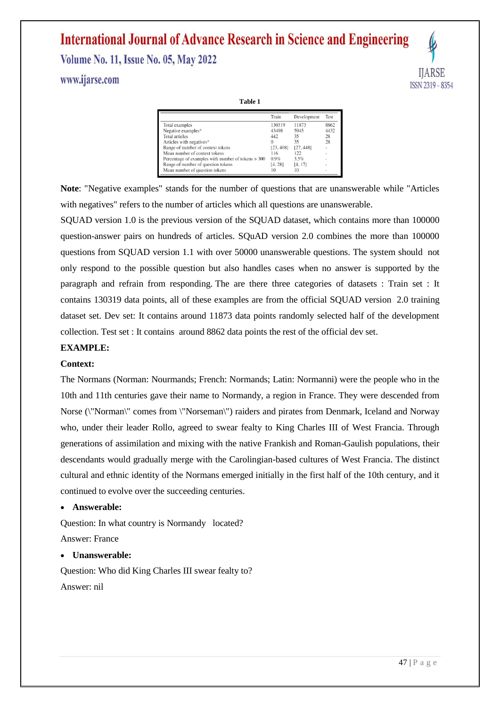www.ijarse.com

**HARSE** ISSN 2319 - 8354

**Table 1**

|                                                      | Train     | Development | Test                     |
|------------------------------------------------------|-----------|-------------|--------------------------|
| Total examples                                       | 130319    | 11873       | 8862                     |
| Negative examples*                                   | 43498     | 5945        | 4432                     |
| Total articles                                       | 442       | 35          | 28                       |
| Articles with negatives*                             | $\Omega$  | 35          | 28                       |
| Range of number of context tokens                    | [23, 408] | [27, 448]   | ٠                        |
| Mean number of context tokens                        | 116       | 122         | ٠                        |
| Percentage of examples with number of tokens $> 300$ | $0.9\%$   | 3.5%        |                          |
| Range of number of question tokens                   | [4, 28]   | [4, 17]     |                          |
| Mean number of question tokens                       | 10        | 10          | $\overline{\phantom{a}}$ |

**Note**: "Negative examples" stands for the number of questions that are unanswerable while "Articles with negatives" refers to the number of articles which all questions are unanswerable.

SQUAD version 1.0 is the previous version of the SQUAD dataset, which contains more than 100000 question-answer pairs on hundreds of articles. SQuAD version 2.0 combines the more than 100000 questions from SQUAD version 1.1 with over 50000 unanswerable questions. The system should not only respond to the possible question but also handles cases when no answer is supported by the paragraph and refrain from responding. The are there three categories of datasets : Train set : It contains 130319 data points, all of these examples are from the official SQUAD version 2.0 training dataset set. Dev set: It contains around 11873 data points randomly selected half of the development collection. Test set : It contains around 8862 data points the rest of the official dev set.

#### **EXAMPLE:**

#### **Context:**

The Normans (Norman: Nourmands; French: Normands; Latin: Normanni) were the people who in the 10th and 11th centuries gave their name to Normandy, a region in France. They were descended from Norse (\"Norman\" comes from \"Norseman\") raiders and pirates from Denmark, Iceland and Norway who, under their leader Rollo, agreed to swear fealty to King Charles III of West Francia. Through generations of assimilation and mixing with the native Frankish and Roman-Gaulish populations, their descendants would gradually merge with the Carolingian-based cultures of West Francia. The distinct cultural and ethnic identity of the Normans emerged initially in the first half of the 10th century, and it continued to evolve over the succeeding centuries.

#### **Answerable:**

Question: In what country is Normandy located? Answer: France

#### **Unanswerable:**

Question: Who did King Charles III swear fealty to? Answer: nil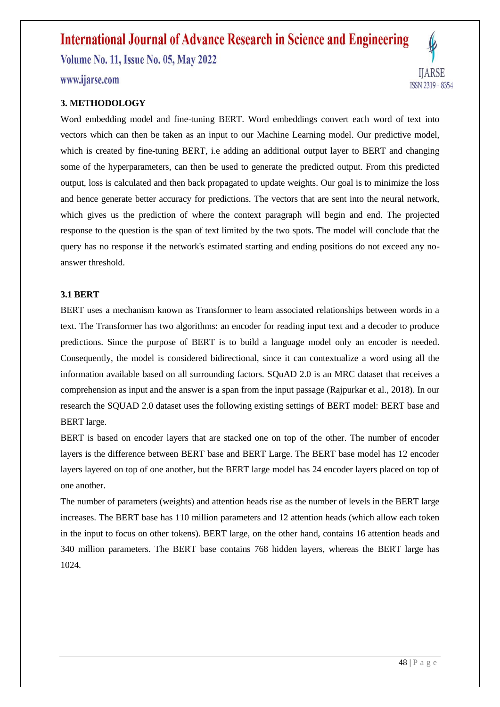## www.ijarse.com

#### **3. METHODOLOGY**

Word embedding model and fine-tuning BERT. Word embeddings convert each word of text into vectors which can then be taken as an input to our Machine Learning model. Our predictive model, which is created by fine-tuning BERT, i.e adding an additional output layer to BERT and changing some of the hyperparameters, can then be used to generate the predicted output. From this predicted output, loss is calculated and then back propagated to update weights. Our goal is to minimize the loss and hence generate better accuracy for predictions. The vectors that are sent into the neural network, which gives us the prediction of where the context paragraph will begin and end. The projected response to the question is the span of text limited by the two spots. The model will conclude that the query has no response if the network's estimated starting and ending positions do not exceed any noanswer threshold.

#### **3.1 BERT**

BERT uses a mechanism known as Transformer to learn associated relationships between words in a text. The Transformer has two algorithms: an encoder for reading input text and a decoder to produce predictions. Since the purpose of BERT is to build a language model only an encoder is needed. Consequently, the model is considered bidirectional, since it can contextualize a word using all the information available based on all surrounding factors. SQuAD 2.0 is an MRC dataset that receives a comprehension as input and the answer is a span from the input passage (Rajpurkar et al., 2018). In our research the SQUAD 2.0 dataset uses the following existing settings of BERT model: BERT base and BERT large.

BERT is based on encoder layers that are stacked one on top of the other. The number of encoder layers is the difference between BERT base and BERT Large. The BERT base model has 12 encoder layers layered on top of one another, but the BERT large model has 24 encoder layers placed on top of one another.

The number of parameters (weights) and attention heads rise as the number of levels in the BERT large increases. The BERT base has 110 million parameters and 12 attention heads (which allow each token in the input to focus on other tokens). BERT large, on the other hand, contains 16 attention heads and 340 million parameters. The BERT base contains 768 hidden layers, whereas the BERT large has 1024.

**IJARSE** 

ISSN 2319 - 8354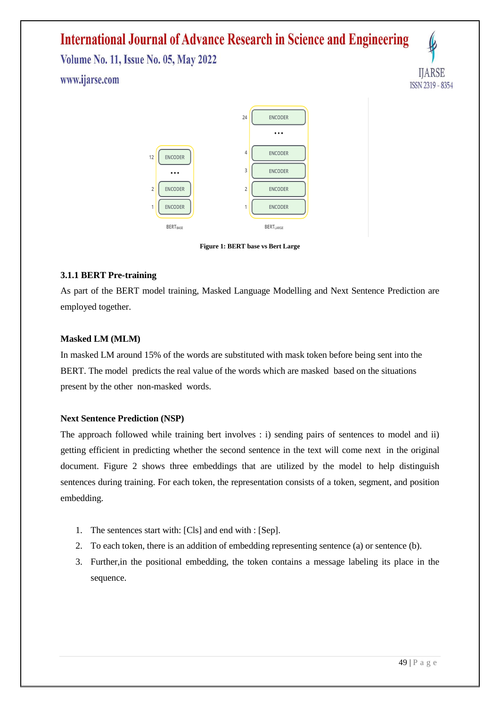# **International Journal of Advance Research in Science and Engineering**

**Volume No. 11, Issue No. 05, May 2022** www.ijarse.com



**Figure 1: BERT base vs Bert Large**

#### **3.1.1 BERT Pre-training**

As part of the BERT model training, Masked Language Modelling and Next Sentence Prediction are employed together.

#### **Masked LM (MLM)**

In masked LM around 15% of the words are substituted with mask token before being sent into the BERT. The model predicts the real value of the words which are masked based on the situations present by the other non-masked words.

#### **Next Sentence Prediction (NSP)**

The approach followed while training bert involves : i) sending pairs of sentences to model and ii) getting efficient in predicting whether the second sentence in the text will come next in the original document. Figure 2 shows three embeddings that are utilized by the model to help distinguish sentences during training. For each token, the representation consists of a token, segment, and position embedding.

- 1. The sentences start with: [Cls] and end with : [Sep].
- 2. To each token, there is an addition of embedding representing sentence (a) or sentence (b).
- 3. Further,in the positional embedding, the token contains a message labeling its place in the sequence.

**HARSE** 

ISSN 2319 - 8354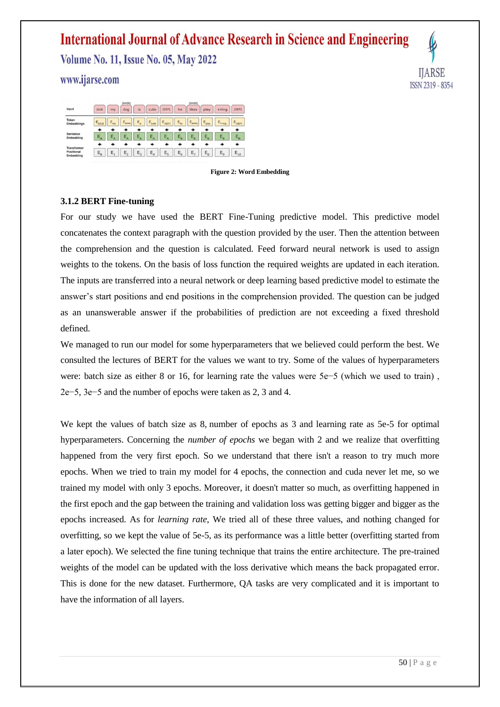# **International Journal of Advance Research in Science and Engineering**

**Volume No. 11, Issue No. 05, May 2022** 

www.ijarse.com





#### **Figure 2: Word Embedding**

#### **3.1.2 BERT Fine-tuning**

For our study we have used the BERT Fine-Tuning predictive model. This predictive model concatenates the context paragraph with the question provided by the user. Then the attention between the comprehension and the question is calculated. Feed forward neural network is used to assign weights to the tokens. On the basis of loss function the required weights are updated in each iteration. The inputs are transferred into a neural network or deep learning based predictive model to estimate the answer's start positions and end positions in the comprehension provided. The question can be judged as an unanswerable answer if the probabilities of prediction are not exceeding a fixed threshold defined.

We managed to run our model for some hyperparameters that we believed could perform the best. We consulted the lectures of BERT for the values we want to try. Some of the values of hyperparameters were: batch size as either 8 or 16, for learning rate the values were 5e−5 (which we used to train) , 2e−5, 3e−5 and the number of epochs were taken as 2, 3 and 4.

We kept the values of batch size as 8, number of epochs as 3 and learning rate as 5e-5 for optimal hyperparameters. Concerning the *number of epochs* we began with 2 and we realize that overfitting happened from the very first epoch. So we understand that there isn't a reason to try much more epochs. When we tried to train my model for 4 epochs, the connection and cuda never let me, so we trained my model with only 3 epochs. Moreover, it doesn't matter so much, as overfitting happened in the first epoch and the gap between the training and validation loss was getting bigger and bigger as the epochs increased. As for *learning rate*, We tried all of these three values, and nothing changed for overfitting, so we kept the value of 5e-5, as its performance was a little better (overfitting started from a later epoch). We selected the fine tuning technique that trains the entire architecture. The pre-trained weights of the model can be updated with the loss derivative which means the back propagated error. This is done for the new dataset. Furthermore, QA tasks are very complicated and it is important to have the information of all layers.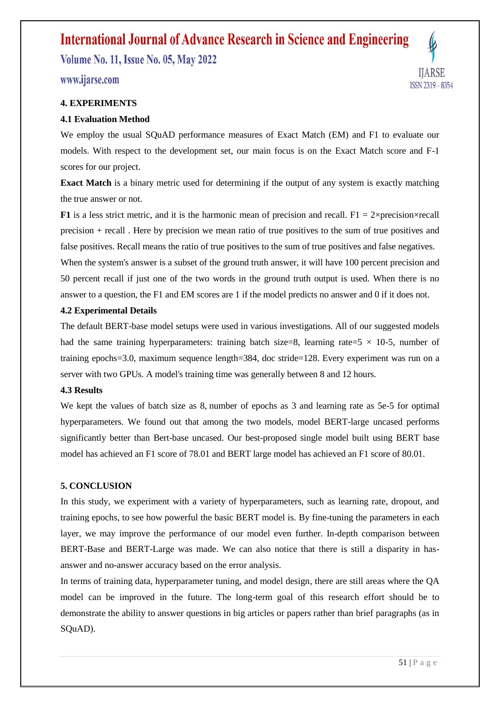# **International Journal of Advance Research in Science and Engineering**

**Volume No. 11, Issue No. 05, May 2022** 

www.ijarse.com

#### **4. EXPERIMENTS**

#### **4.1 Evaluation Method**

We employ the usual SQuAD performance measures of Exact Match (EM) and F1 to evaluate our models. With respect to the development set, our main focus is on the Exact Match score and F-1 scores for our project.

**Exact Match** is a binary metric used for determining if the output of any system is exactly matching the true answer or not.

**F1** is a less strict metric, and it is the harmonic mean of precision and recall. F1 =  $2 \times$ precision $\times$ recall precision + recall . Here by precision we mean ratio of true positives to the sum of true positives and false positives. Recall means the ratio of true positives to the sum of true positives and false negatives.

When the system's answer is a subset of the ground truth answer, it will have 100 percent precision and 50 percent recall if just one of the two words in the ground truth output is used. When there is no answer to a question, the F1 and EM scores are 1 if the model predicts no answer and 0 if it does not.

#### **4.2 Experimental Details**

The default BERT-base model setups were used in various investigations. All of our suggested models had the same training hyperparameters: training batch size=8, learning rate=5  $\times$  10-5, number of training epochs=3.0, maximum sequence length=384, doc stride=128. Every experiment was run on a server with two GPUs. A model's training time was generally between 8 and 12 hours.

#### **4.3 Results**

We kept the values of batch size as 8, number of epochs as 3 and learning rate as 5e-5 for optimal hyperparameters. We found out that among the two models, model BERT-large uncased performs significantly better than Bert-base uncased. Our best-proposed single model built using BERT base model has achieved an F1 score of 78.01 and BERT large model has achieved an F1 score of 80.01.

#### **5. CONCLUSION**

In this study, we experiment with a variety of hyperparameters, such as learning rate, dropout, and training epochs, to see how powerful the basic BERT model is. By fine-tuning the parameters in each layer, we may improve the performance of our model even further. In-depth comparison between BERT-Base and BERT-Large was made. We can also notice that there is still a disparity in hasanswer and no-answer accuracy based on the error analysis.

In terms of training data, hyperparameter tuning, and model design, there are still areas where the QA model can be improved in the future. The long-term goal of this research effort should be to demonstrate the ability to answer questions in big articles or papers rather than brief paragraphs (as in SQuAD).

**HARSE** 

ISSN 2319 - 8354